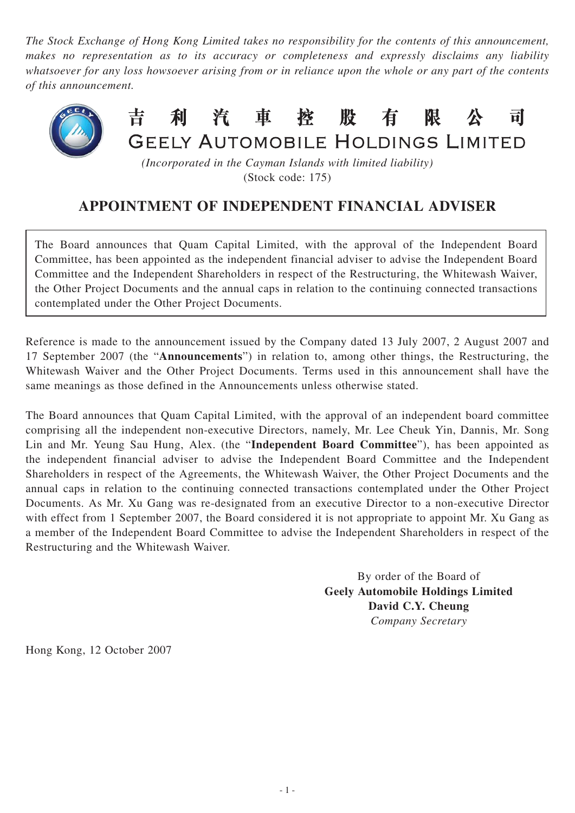*The Stock Exchange of Hong Kong Limited takes no responsibility for the contents of this announcement, makes no representation as to its accuracy or completeness and expressly disclaims any liability whatsoever for any loss howsoever arising from or in reliance upon the whole or any part of the contents of this announcement.*



*(Incorporated in the Cayman Islands with limited liability)* (Stock code: 175)

## **APPOINTMENT OF INDEPENDENT FINANCIAL ADVISER**

The Board announces that Quam Capital Limited, with the approval of the Independent Board Committee, has been appointed as the independent financial adviser to advise the Independent Board Committee and the Independent Shareholders in respect of the Restructuring, the Whitewash Waiver, the Other Project Documents and the annual caps in relation to the continuing connected transactions contemplated under the Other Project Documents.

Reference is made to the announcement issued by the Company dated 13 July 2007, 2 August 2007 and 17 September 2007 (the "**Announcements**") in relation to, among other things, the Restructuring, the Whitewash Waiver and the Other Project Documents. Terms used in this announcement shall have the same meanings as those defined in the Announcements unless otherwise stated.

The Board announces that Quam Capital Limited, with the approval of an independent board committee comprising all the independent non-executive Directors, namely, Mr. Lee Cheuk Yin, Dannis, Mr. Song Lin and Mr. Yeung Sau Hung, Alex. (the "**Independent Board Committee**"), has been appointed as the independent financial adviser to advise the Independent Board Committee and the Independent Shareholders in respect of the Agreements, the Whitewash Waiver, the Other Project Documents and the annual caps in relation to the continuing connected transactions contemplated under the Other Project Documents. As Mr. Xu Gang was re-designated from an executive Director to a non-executive Director with effect from 1 September 2007, the Board considered it is not appropriate to appoint Mr. Xu Gang as a member of the Independent Board Committee to advise the Independent Shareholders in respect of the Restructuring and the Whitewash Waiver.

> By order of the Board of **Geely Automobile Holdings Limited David C.Y. Cheung** *Company Secretary*

Hong Kong, 12 October 2007